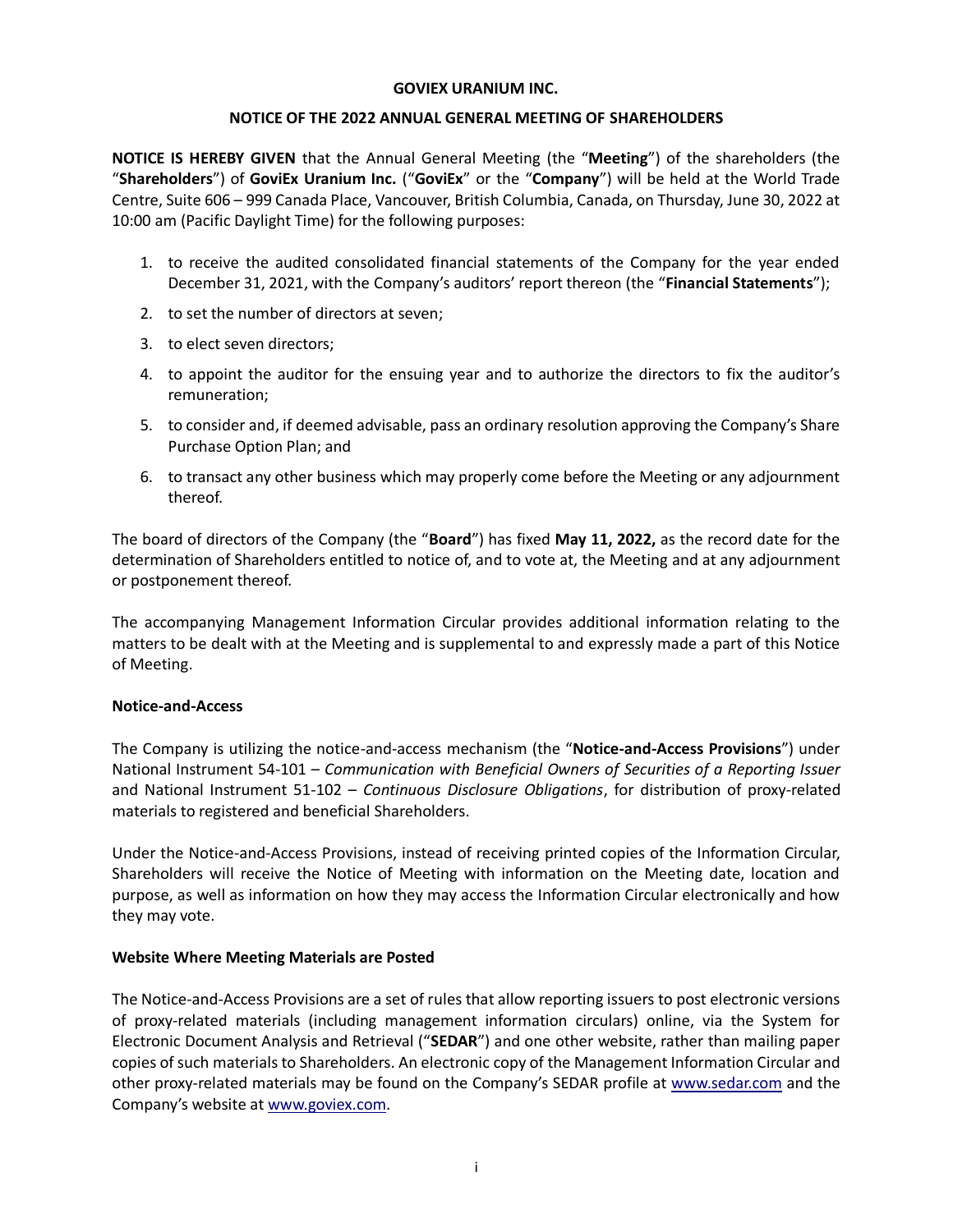#### **GOVIEX URANIUM INC.**

# **NOTICE OF THE 2022 ANNUAL GENERAL MEETING OF SHAREHOLDERS**

**NOTICE IS HEREBY GIVEN** that the Annual General Meeting (the "**Meeting**") of the shareholders (the "**Shareholders**") of **GoviEx Uranium Inc.** ("**GoviEx**" or the "**Company**") will be held at the World Trade Centre, Suite 606 – 999 Canada Place, Vancouver, British Columbia, Canada, on Thursday, June 30, 2022 at 10:00 am (Pacific Daylight Time) for the following purposes:

- 1. to receive the audited consolidated financial statements of the Company for the year ended December 31, 2021, with the Company's auditors' report thereon (the "**Financial Statements**");
- 2. to set the number of directors at seven;
- 3. to elect seven directors;
- 4. to appoint the auditor for the ensuing year and to authorize the directors to fix the auditor's remuneration;
- 5. to consider and, if deemed advisable, pass an ordinary resolution approving the Company's Share Purchase Option Plan; and
- 6. to transact any other business which may properly come before the Meeting or any adjournment thereof.

The board of directors of the Company (the "**Board**") has fixed **May 11, 2022,** as the record date for the determination of Shareholders entitled to notice of, and to vote at, the Meeting and at any adjournment or postponement thereof.

The accompanying Management Information Circular provides additional information relating to the matters to be dealt with at the Meeting and is supplemental to and expressly made a part of this Notice of Meeting.

# **Notice-and-Access**

The Company is utilizing the notice-and-access mechanism (the "**Notice-and-Access Provisions**") under National Instrument 54-101 – *Communication with Beneficial Owners of Securities of a Reporting Issuer* and National Instrument 51-102 – *Continuous Disclosure Obligations*, for distribution of proxy-related materials to registered and beneficial Shareholders.

Under the Notice-and-Access Provisions, instead of receiving printed copies of the Information Circular, Shareholders will receive the Notice of Meeting with information on the Meeting date, location and purpose, as well as information on how they may access the Information Circular electronically and how they may vote.

# **Website Where Meeting Materials are Posted**

The Notice-and-Access Provisions are a set of rules that allow reporting issuers to post electronic versions of proxy-related materials (including management information circulars) online, via the System for Electronic Document Analysis and Retrieval ("**SEDAR**") and one other website, rather than mailing paper copies of such materials to Shareholders. An electronic copy of the Management Information Circular and other proxy-related materials may be found on the Company's SEDAR profile at [www.sedar.com](http://www.sedar.com/) and the Company's website at [www.goviex.com.](http://www.goviex.com/)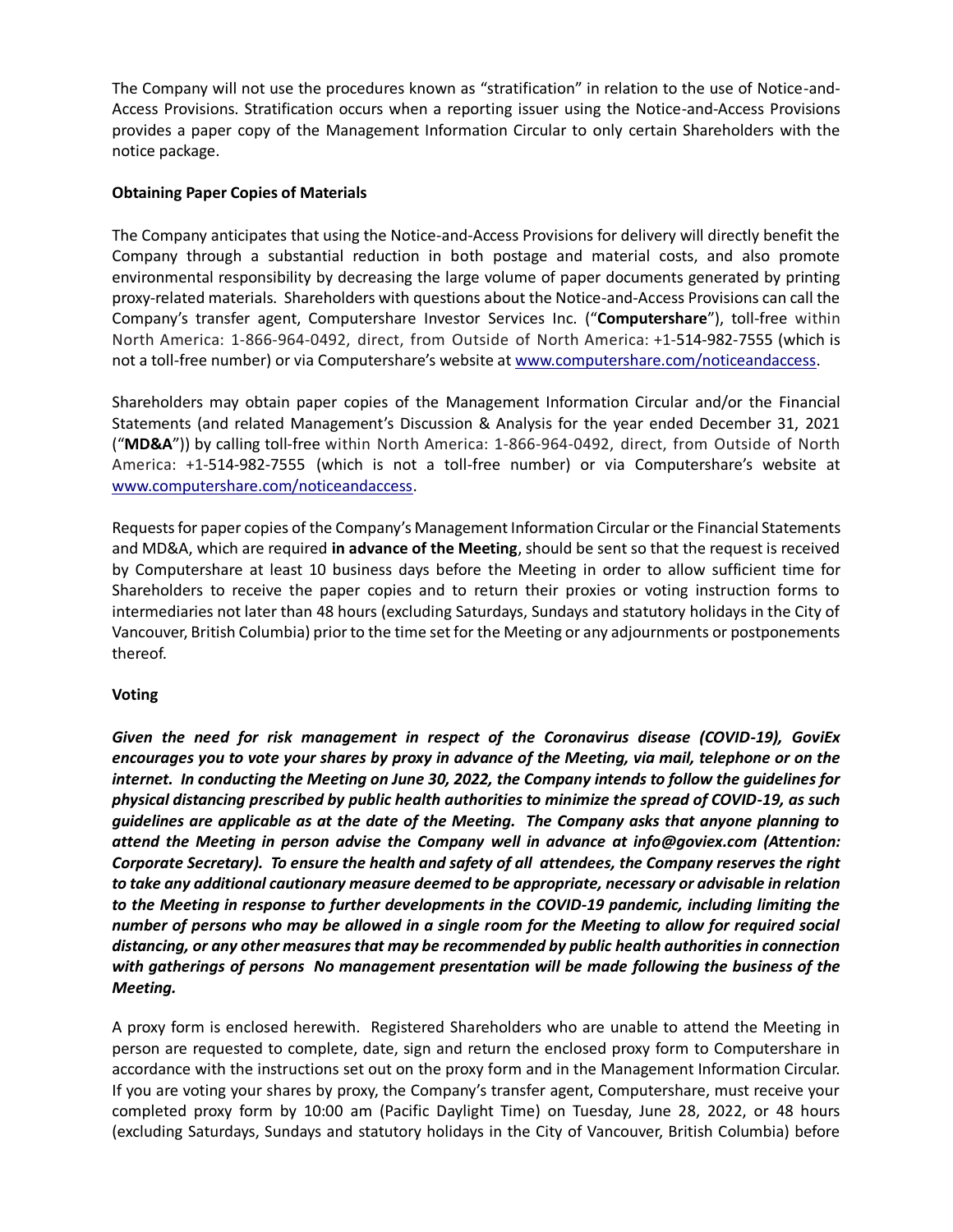The Company will not use the procedures known as "stratification" in relation to the use of Notice-and-Access Provisions. Stratification occurs when a reporting issuer using the Notice-and-Access Provisions provides a paper copy of the Management Information Circular to only certain Shareholders with the notice package.

# **Obtaining Paper Copies of Materials**

The Company anticipates that using the Notice-and-Access Provisions for delivery will directly benefit the Company through a substantial reduction in both postage and material costs, and also promote environmental responsibility by decreasing the large volume of paper documents generated by printing proxy-related materials. Shareholders with questions about the Notice-and-Access Provisions can call the Company's transfer agent, Computershare Investor Services Inc. ("**Computershare**"), toll-free within North America: 1-866-964-0492, direct, from Outside of North America: +1-514-982-7555 (which is not a toll-free number) or via Computershare's website at [www.computershare.com/noticeandaccess.](http://www.computershare.com/noticeandaccess)

Shareholders may obtain paper copies of the Management Information Circular and/or the Financial Statements (and related Management's Discussion & Analysis for the year ended December 31, 2021 ("**MD&A**")) by calling toll-free within North America: 1-866-964-0492, direct, from Outside of North America: +1-514-982-7555 (which is not a toll-free number) or via Computershare's website at [www.computershare.com/noticeandaccess.](http://www.computershare.com/noticeandaccess)

Requests for paper copies of the Company's Management Information Circular or the Financial Statements and MD&A, which are required **in advance of the Meeting**, should be sent so that the request is received by Computershare at least 10 business days before the Meeting in order to allow sufficient time for Shareholders to receive the paper copies and to return their proxies or voting instruction forms to intermediaries not later than 48 hours (excluding Saturdays, Sundays and statutory holidays in the City of Vancouver, British Columbia) prior to the time set for the Meeting or any adjournments or postponements thereof.

# **Voting**

*Given the need for risk management in respect of the Coronavirus disease (COVID-19), GoviEx encourages you to vote your shares by proxy in advance of the Meeting, via mail, telephone or on the internet. In conducting the Meeting on June 30, 2022, the Company intends to follow the guidelines for physical distancing prescribed by public health authorities to minimize the spread of COVID-19, as such guidelines are applicable as at the date of the Meeting. The Company asks that anyone planning to attend the Meeting in person advise the Company well in advance at info@goviex.com (Attention: Corporate Secretary). To ensure the health and safety of all attendees, the Company reserves the right to take any additional cautionary measure deemed to be appropriate, necessary or advisable in relation to the Meeting in response to further developments in the COVID-19 pandemic, including limiting the number of persons who may be allowed in a single room for the Meeting to allow for required social distancing, or any other measures that may be recommended by public health authorities in connection with gatherings of persons No management presentation will be made following the business of the Meeting.*

A proxy form is enclosed herewith. Registered Shareholders who are unable to attend the Meeting in person are requested to complete, date, sign and return the enclosed proxy form to Computershare in accordance with the instructions set out on the proxy form and in the Management Information Circular. If you are voting your shares by proxy, the Company's transfer agent, Computershare, must receive your completed proxy form by 10:00 am (Pacific Daylight Time) on Tuesday, June 28, 2022, or 48 hours (excluding Saturdays, Sundays and statutory holidays in the City of Vancouver, British Columbia) before